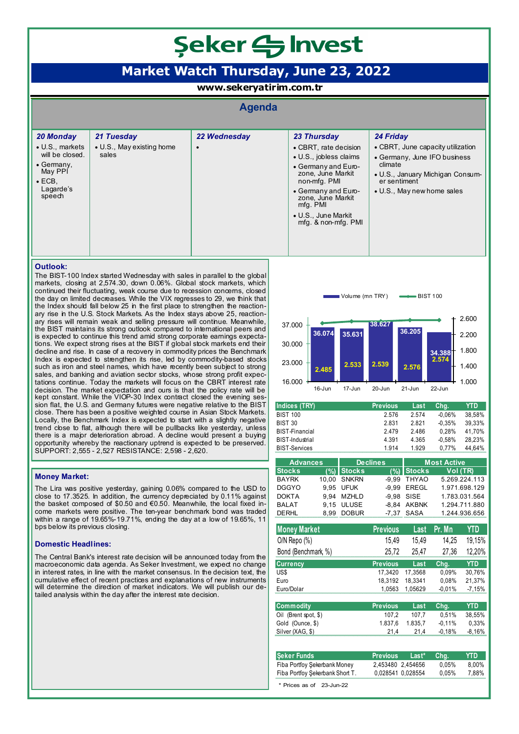# Seker SInvest

## **Market Watch Thursday, June 23, 2022**

**www.sekeryatirim.com.tr**

### **Agenda**

| 20 Monday                                                                                                            | 21 Tuesday                         | 22 Wednesday | 23 Thursday                                                                                                                                                                                                       | 24 Friday                                                                                                                                                      |
|----------------------------------------------------------------------------------------------------------------------|------------------------------------|--------------|-------------------------------------------------------------------------------------------------------------------------------------------------------------------------------------------------------------------|----------------------------------------------------------------------------------------------------------------------------------------------------------------|
| $\bullet$ U.S., markets<br>will be closed.<br>$\bullet$ Germany.<br>May PPI<br>$\bullet$ ECB,<br>Lagarde's<br>speech | • U.S., May existing home<br>sales |              | • CBRT, rate decision<br>• U.S., jobless claims<br>• Germany and Euro-<br>zone. June Markit<br>non-mfg. PMI<br>• Germany and Euro-<br>zone. June Markit<br>mfg. PMI<br>• U.S., June Markit<br>mfg. & non-mfg. PMI | • CBRT, June capacity utilization<br>• Germany, June IFO business<br>climate<br>• U.S., January Michigan Consum-<br>er sentiment<br>• U.S., May new home sales |
|                                                                                                                      |                                    |              |                                                                                                                                                                                                                   |                                                                                                                                                                |

#### **Outlook:**

The BIST-100 Index started Wednesday with sales in parallel to the global markets, closing at 2,574.30, down 0.06%. Global stock markets, which continued their fluctuating, weak course due to recession concerns, closed the day on limited decreases. While the VIX regresses to 29, we think that the Index should fall below 25 in the first place to strengthen the reactionary rise in the U.S. Stock Markets. As the Index stays above 25, reactionary rises will remain weak and selling pressure will continue. Meanwhile, the BIST maintains its strong outlook compared to international peers and is expected to continue this trend amid strong corporate earnings expectations. We expect strong rises at the BIST if global stock markets end their decline and rise. In case of a recovery in commodity prices the Benchmark Index is expected to strengthen its rise, led by commodity-based stocks such as iron and steel names, which have recently been subject to strong sales, and banking and aviation sector stocks, whose strong profit expectations continue. Today the markets will focus on the CBRT interest rate decision. The market expectation and ours is that the policy rate will be kept constant. While the VIOP-30 Index contract closed the evening session flat, the U.S. and Germany futures were negative relative to the BIST close. There has been a positive weighted course in Asian Stock Markets. Locally, the Benchmark Index is expected to start with a slightly negative trend cbse to flat, although there will be pullbacks like yesterday, unless there is a major deterioration abroad. A decline would present a buying opportunity whereby the reactionary uptrend is expected to be preserved. SUPPORT: 2,555 - 2,527 RESISTANCE: 2,598 - 2,620.

#### **Money Market:**

The Lira was positive yesterday, gaining 0.06% compared to the USD to close to 17.3525. In addition, the currency depreciated by 0.11% against the basket composed of \$0.50 and €0.50. Meanwhile, the local fixed income markets were positive. The ten-year benchmark bond was traded within a range of 19.65%-19.71%, ending the day at a low of 19.65%, 11 bps below its previous closing.

#### **Domestic Headlines:**

The Central Bank's interest rate decision will be announced today from the macroeconomic data agenda. As Seker Investment, we expect no change in interest rates, in line with the market consensus. In the decision text, the cumulative effect of recent practices and explanations of new instruments will determine the direction of market indicators. We will publish our detailed analysis within the day after the interest rate decision.



| Indices (TRY)          | <b>Previous</b> | Last  | Cha.     | YTD    |
|------------------------|-----------------|-------|----------|--------|
| <b>BIST 100</b>        | 2.576           | 2.574 | $-0.06%$ | 38.58% |
| BIST 30                | 2.831           | 2821  | $-0.35%$ | 39.33% |
| <b>BIST-Financial</b>  | 2479            | 2.486 | 0.28%    | 41.70% |
| <b>BIST-Industrial</b> | 4 3 9 1         | 4.365 | $-0.58%$ | 28.23% |
| <b>BIST-Services</b>   | 1914            | 1.929 | $0.77\%$ | 44.64% |

| <b>Advances</b> |  | <b>Declines</b> |  | <b>Most Active</b> |               |  |
|-----------------|--|-----------------|--|--------------------|---------------|--|
| <b>Stocks</b>   |  | $(%)$ Stocks    |  | $(%)$ Stocks       | Vol (TR)      |  |
| <b>BAYRK</b>    |  | 10.00 SNKRN     |  | -9.99 THYAO        | 5.269.224.113 |  |
| <b>DGGYO</b>    |  | 9.95 UFUK       |  | -9.99 EREGL        | 1.971.698.129 |  |
| <b>DOKTA</b>    |  | 9.94 MZHLD      |  | $-9.98$ SISE       | 1.783.031.564 |  |
| <b>BALAT</b>    |  | 9.15 ULUSE      |  | -8.84 AKBNK        | 1.294.711.880 |  |
| <b>DERHL</b>    |  | 8.99 DOBUR      |  | -7.37 SASA         | 1.244.936.656 |  |

| <b>Previous</b> | Last    | Pr. Mn | YTD                           |
|-----------------|---------|--------|-------------------------------|
| 15.49           | 15.49   | 14.25  | 19.15%                        |
| 25.72           | 25.47   | 27.36  | 12,20%                        |
| <b>Previous</b> | Last    | Cha.   | YTD                           |
| 17.3420         | 17.3568 | 0.09%  | 30.76%                        |
| 18.3192         | 18.3341 | 0.08%  | 21.37%                        |
|                 |         |        | $-7.15%$                      |
|                 |         |        | $-0.01%$<br>1.0563<br>1.05629 |

| <b>Commodity</b>     | <b>Previous</b> | Last    | Cha.     | YTD    |
|----------------------|-----------------|---------|----------|--------|
| Oil (Brent spot, \$) | 107.2           | 107.7   | 0.51%    | 38.55% |
| Gold (Ounce, \$)     | 1.837.6         | 1.835.7 | $-0.11%$ | 0.33%  |
| Silver (XAG, \$)     | 21.4            | 214     | -0.18%   | -8.16% |

| <b>Seker Funds</b>              | <b>Previous</b>   | Last* | Cha.     | YTD.  |
|---------------------------------|-------------------|-------|----------|-------|
| Fiba Portfoy Şekerbank Money    | 2.453480 2.454656 |       | $0.05\%$ | 8.00% |
| Fiba Portfoy Şekerbank Short T. | 0.028541 0.028554 |       | $0.05\%$ | 7.88% |
| * Prices as of 23-Jun-22        |                   |       |          |       |